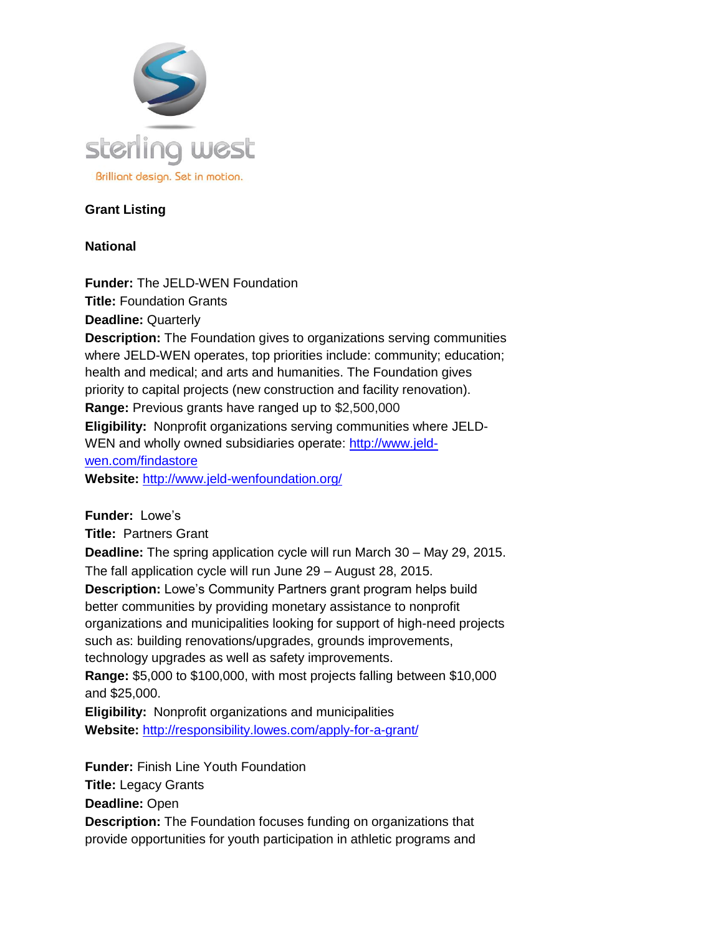

### **Grant Listing**

### **National**

**Funder:** The JELD-WEN Foundation **Title:** Foundation Grants **Deadline:** Quarterly **Description:** The Foundation gives to organizations serving communities where JELD-WEN operates, top priorities include: community; education; health and medical; and arts and humanities. The Foundation gives priority to capital projects (new construction and facility renovation). **Range:** Previous grants have ranged up to \$2,500,000 **Eligibility:** Nonprofit organizations serving communities where JELD-WEN and wholly owned subsidiaries operate: [http://www.jeld](http://www.jeld-wen.com/findastore)[wen.com/findastore](http://www.jeld-wen.com/findastore) **Website:** <http://www.jeld-wenfoundation.org/>

**Funder:** Lowe's **Title:** Partners Grant **Deadline:** The spring application cycle will run March 30 – May 29, 2015. The fall application cycle will run June 29 – August 28, 2015. **Description:** Lowe's Community Partners grant program helps build better communities by providing monetary assistance to nonprofit organizations and municipalities looking for support of high-need projects such as: building renovations/upgrades, grounds improvements, technology upgrades as well as safety improvements. **Range:** \$5,000 to \$100,000, with most projects falling between \$10,000 and \$25,000. **Eligibility:** Nonprofit organizations and municipalities **Website:** <http://responsibility.lowes.com/apply-for-a-grant/>

**Funder:** Finish Line Youth Foundation **Title:** Legacy Grants **Deadline:** Open **Description:** The Foundation focuses funding on organizations that provide opportunities for youth participation in athletic programs and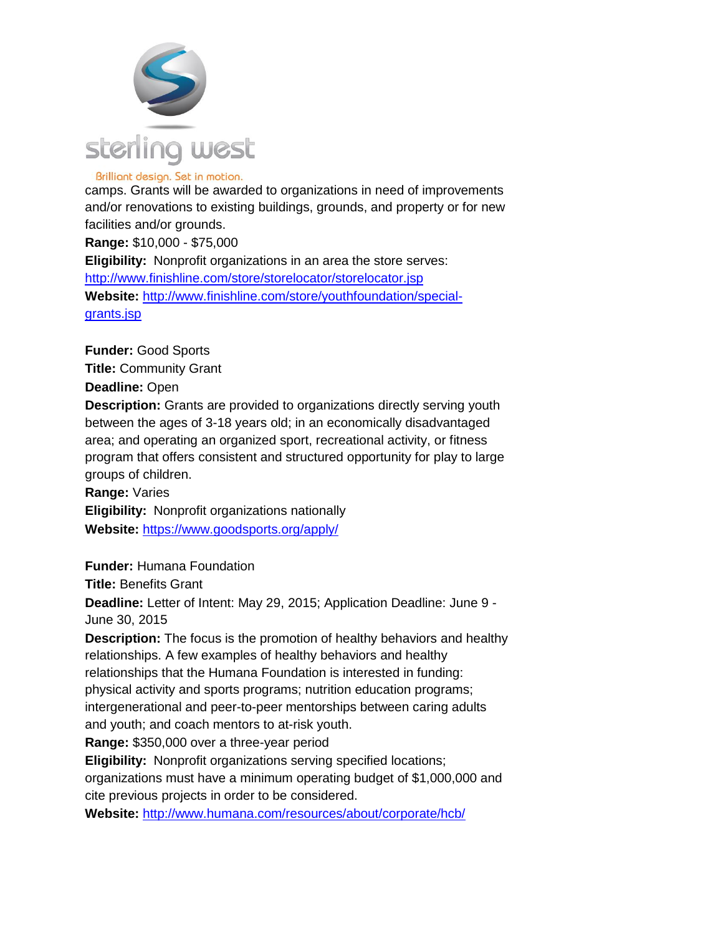

camps. Grants will be awarded to organizations in need of improvements and/or renovations to existing buildings, grounds, and property or for new facilities and/or grounds.

**Range:** \$10,000 - \$75,000 **Eligibility:** Nonprofit organizations in an area the store serves: <http://www.finishline.com/store/storelocator/storelocator.jsp> **Website:** [http://www.finishline.com/store/youthfoundation/special](http://www.finishline.com/store/youthfoundation/special-grants.jsp)[grants.jsp](http://www.finishline.com/store/youthfoundation/special-grants.jsp)

**Funder:** Good Sports **Title:** Community Grant **Deadline:** Open **Description:** Grants are provided to organizations directly serving youth between the ages of 3-18 years old; in an economically disadvantaged area; and operating an organized sport, recreational activity, or fitness program that offers consistent and structured opportunity for play to large groups of children. **Range:** Varies **Eligibility:** Nonprofit organizations nationally

**Website:** <https://www.goodsports.org/apply/>

**Funder:** Humana Foundation

**Title:** Benefits Grant

**Deadline:** Letter of Intent: May 29, 2015; Application Deadline: June 9 - June 30, 2015

**Description:** The focus is the promotion of healthy behaviors and healthy relationships. A few examples of healthy behaviors and healthy relationships that the Humana Foundation is interested in funding: physical activity and sports programs; nutrition education programs; intergenerational and peer-to-peer mentorships between caring adults and youth; and coach mentors to at-risk youth.

**Range:** \$350,000 over a three-year period

**Eligibility:** Nonprofit organizations serving specified locations;

organizations must have a minimum operating budget of \$1,000,000 and cite previous projects in order to be considered.

**Website:** <http://www.humana.com/resources/about/corporate/hcb/>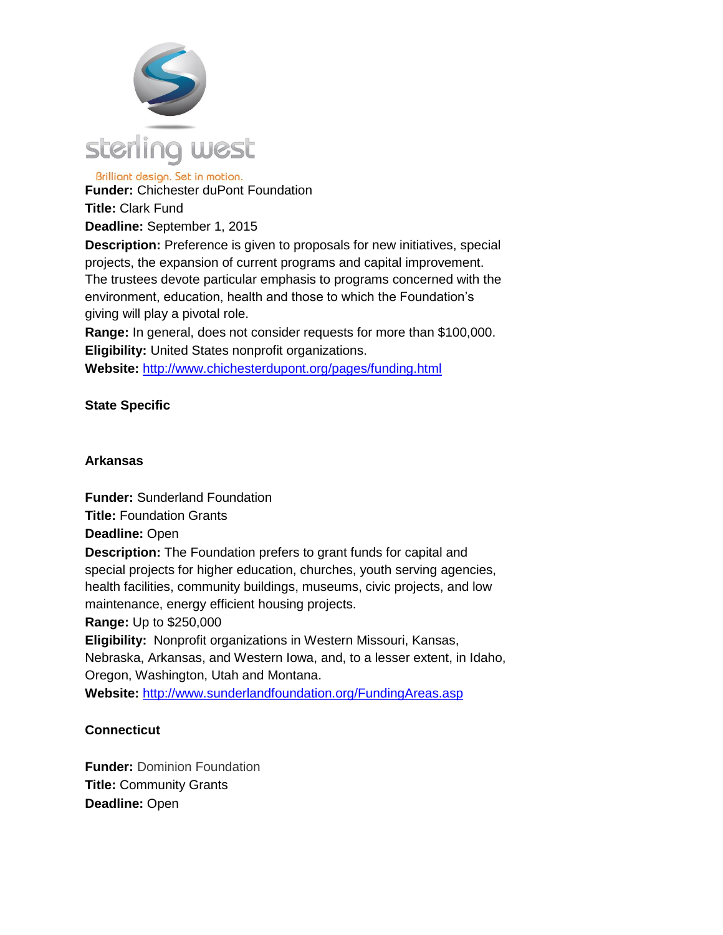

Brilliant design. Set in motion. **Funder:** Chichester duPont Foundation

**Title:** Clark Fund

**Deadline:** September 1, 2015

**Description:** Preference is given to proposals for new initiatives, special projects, the expansion of current programs and capital improvement. The trustees devote particular emphasis to programs concerned with the environment, education, health and those to which the Foundation's giving will play a pivotal role.

**Range:** In general, does not consider requests for more than \$100,000. **Eligibility:** United States nonprofit organizations.

**Website:** <http://www.chichesterdupont.org/pages/funding.html>

# **State Specific**

### **Arkansas**

**Funder:** Sunderland Foundation **Title:** Foundation Grants **Deadline:** Open **Description:** The Foundation prefers to grant funds for capital and special projects for higher education, churches, youth serving agencies, health facilities, community buildings, museums, civic projects, and low maintenance, energy efficient housing projects. **Range:** Up to \$250,000 **Eligibility:** Nonprofit organizations in Western Missouri, Kansas,

Nebraska, Arkansas, and Western Iowa, and, to a lesser extent, in Idaho, Oregon, Washington, Utah and Montana.

**Website:** <http://www.sunderlandfoundation.org/FundingAreas.asp>

# **Connecticut**

**Funder:** Dominion Foundation **Title:** Community Grants **Deadline:** Open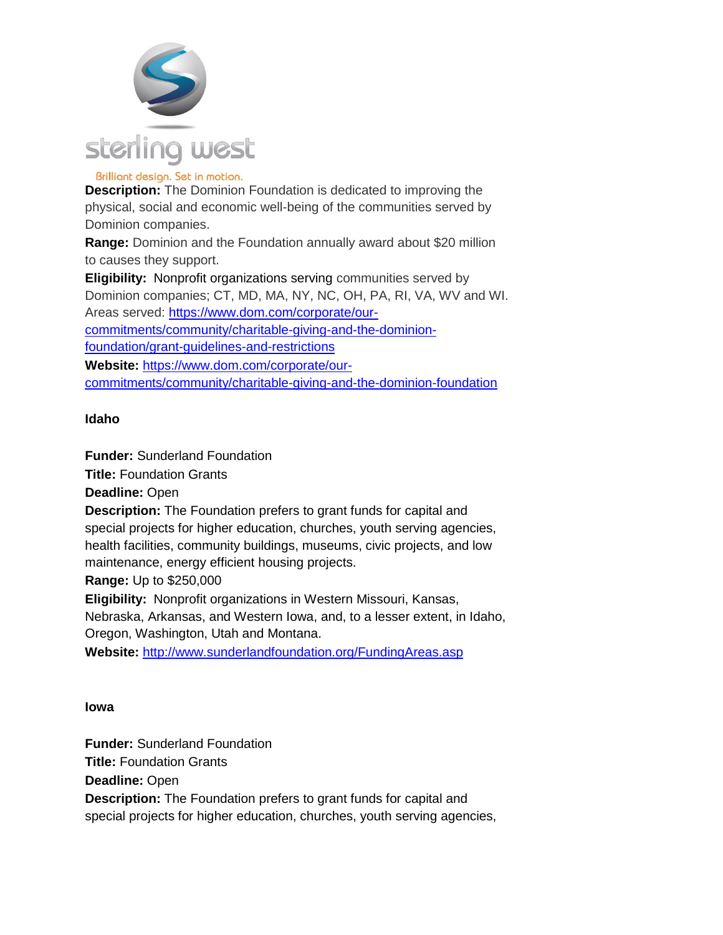

**Description:** The Dominion Foundation is dedicated to improving the physical, social and economic well-being of the communities served by Dominion companies.

**Range:** Dominion and the Foundation annually award about \$20 million to causes they support.

**Eligibility:** Nonprofit organizations serving communities served by Dominion companies; CT, MD, MA, NY, NC, OH, PA, RI, VA, WV and WI. Areas served: [https://www.dom.com/corporate/our](https://www.dom.com/corporate/our-commitments/community/charitable-giving-and-the-dominion-foundation/grant-guidelines-and-restrictions)[commitments/community/charitable-giving-and-the-dominion](https://www.dom.com/corporate/our-commitments/community/charitable-giving-and-the-dominion-foundation/grant-guidelines-and-restrictions)[foundation/grant-guidelines-and-restrictions](https://www.dom.com/corporate/our-commitments/community/charitable-giving-and-the-dominion-foundation/grant-guidelines-and-restrictions) **Website:** [https://www.dom.com/corporate/our-](https://www.dom.com/corporate/our-commitments/community/charitable-giving-and-the-dominion-foundation)

[commitments/community/charitable-giving-and-the-dominion-foundation](https://www.dom.com/corporate/our-commitments/community/charitable-giving-and-the-dominion-foundation)

# **Idaho**

**Funder:** Sunderland Foundation

**Title:** Foundation Grants

**Deadline:** Open

**Description:** The Foundation prefers to grant funds for capital and special projects for higher education, churches, youth serving agencies, health facilities, community buildings, museums, civic projects, and low maintenance, energy efficient housing projects.

**Range:** Up to \$250,000

**Eligibility:** Nonprofit organizations in Western Missouri, Kansas,

Nebraska, Arkansas, and Western Iowa, and, to a lesser extent, in Idaho, Oregon, Washington, Utah and Montana.

**Website:** <http://www.sunderlandfoundation.org/FundingAreas.asp>

# **Iowa**

**Funder:** Sunderland Foundation **Title:** Foundation Grants **Deadline:** Open **Description:** The Foundation prefers to grant funds for capital and special projects for higher education, churches, youth serving agencies,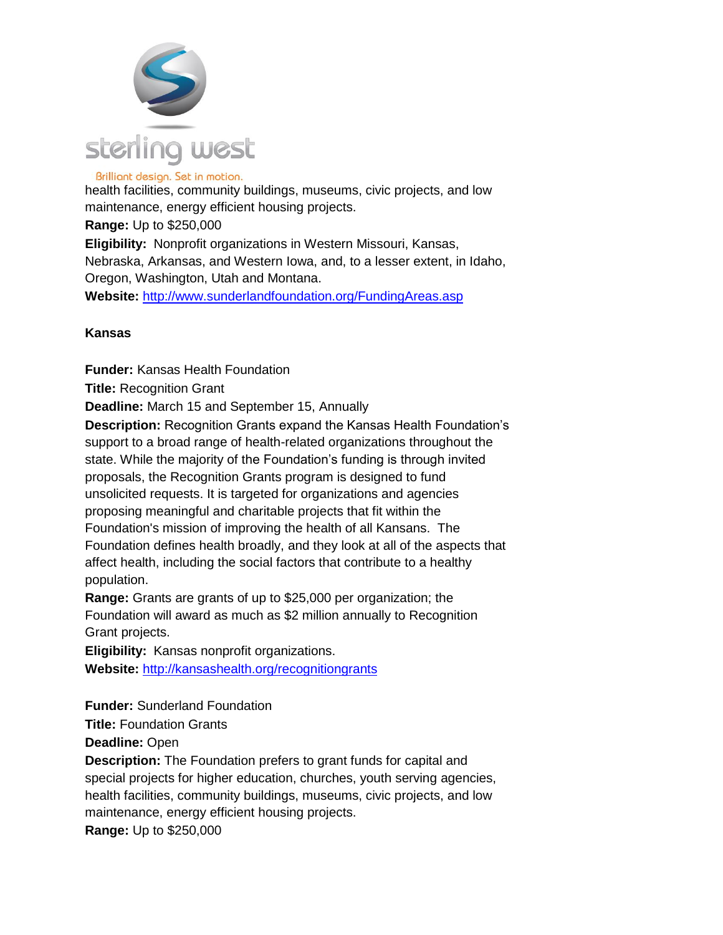

health facilities, community buildings, museums, civic projects, and low maintenance, energy efficient housing projects. **Range:** Up to \$250,000 **Eligibility:** Nonprofit organizations in Western Missouri, Kansas, Nebraska, Arkansas, and Western Iowa, and, to a lesser extent, in Idaho, Oregon, Washington, Utah and Montana. **Website:** <http://www.sunderlandfoundation.org/FundingAreas.asp>

#### **Kansas**

**Funder:** Kansas Health Foundation

**Title:** Recognition Grant

**Deadline:** March 15 and September 15, Annually

**Description:** Recognition Grants expand the Kansas Health Foundation's support to a broad range of health-related organizations throughout the state. While the majority of the Foundation's funding is through invited proposals, the Recognition Grants program is designed to fund unsolicited requests. It is targeted for organizations and agencies proposing meaningful and charitable projects that fit within the Foundation's mission of improving the health of all Kansans. The Foundation defines health broadly, and they look at all of the aspects that affect health, including the social factors that contribute to a healthy population.

**Range:** Grants are grants of up to \$25,000 per organization; the Foundation will award as much as \$2 million annually to Recognition Grant projects.

**Eligibility:** Kansas nonprofit organizations.

**Website:** <http://kansashealth.org/recognitiongrants>

**Funder:** Sunderland Foundation

**Title:** Foundation Grants

**Deadline:** Open

**Description:** The Foundation prefers to grant funds for capital and special projects for higher education, churches, youth serving agencies, health facilities, community buildings, museums, civic projects, and low maintenance, energy efficient housing projects. **Range:** Up to \$250,000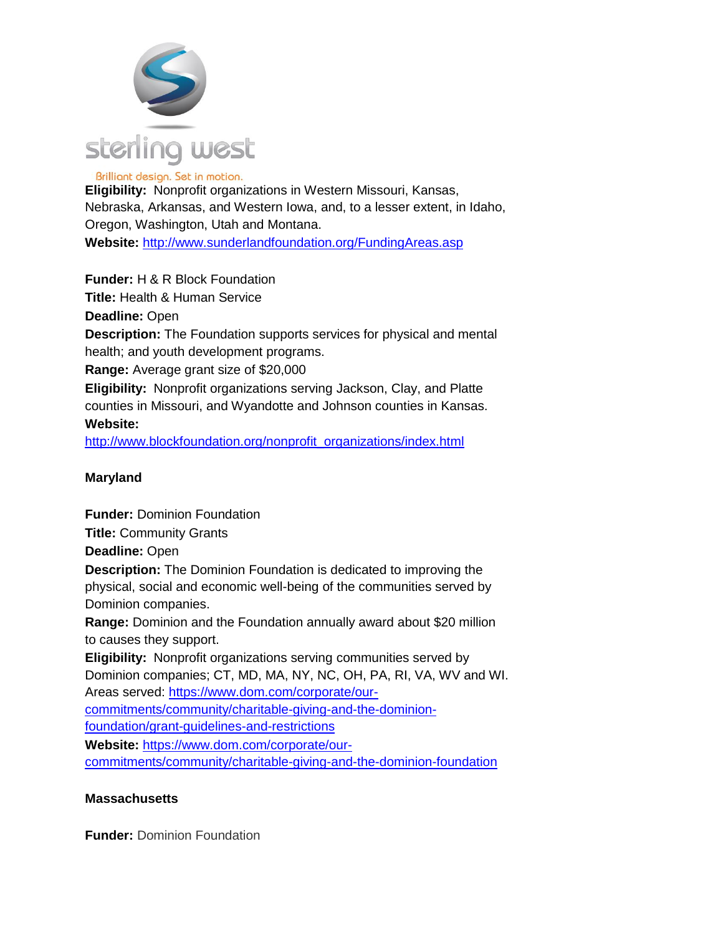

**Eligibility:** Nonprofit organizations in Western Missouri, Kansas, Nebraska, Arkansas, and Western Iowa, and, to a lesser extent, in Idaho, Oregon, Washington, Utah and Montana.

**Website:** <http://www.sunderlandfoundation.org/FundingAreas.asp>

**Funder:** H & R Block Foundation

**Title:** Health & Human Service

**Deadline:** Open

**Description:** The Foundation supports services for physical and mental health; and youth development programs.

**Range:** Average grant size of \$20,000

**Eligibility:** Nonprofit organizations serving Jackson, Clay, and Platte counties in Missouri, and Wyandotte and Johnson counties in Kansas.

# **Website:**

[http://www.blockfoundation.org/nonprofit\\_organizations/index.html](http://www.blockfoundation.org/nonprofit_organizations/index.html)

# **Maryland**

**Funder:** Dominion Foundation

**Title:** Community Grants

**Deadline:** Open

**Description:** The Dominion Foundation is dedicated to improving the physical, social and economic well-being of the communities served by Dominion companies.

**Range:** Dominion and the Foundation annually award about \$20 million to causes they support.

**Eligibility:** Nonprofit organizations serving communities served by Dominion companies; CT, MD, MA, NY, NC, OH, PA, RI, VA, WV and WI. Areas served: [https://www.dom.com/corporate/our](https://www.dom.com/corporate/our-commitments/community/charitable-giving-and-the-dominion-foundation/grant-guidelines-and-restrictions)[commitments/community/charitable-giving-and-the-dominion-](https://www.dom.com/corporate/our-commitments/community/charitable-giving-and-the-dominion-foundation/grant-guidelines-and-restrictions)

[foundation/grant-guidelines-and-restrictions](https://www.dom.com/corporate/our-commitments/community/charitable-giving-and-the-dominion-foundation/grant-guidelines-and-restrictions)

**Website:** [https://www.dom.com/corporate/our-](https://www.dom.com/corporate/our-commitments/community/charitable-giving-and-the-dominion-foundation)

[commitments/community/charitable-giving-and-the-dominion-foundation](https://www.dom.com/corporate/our-commitments/community/charitable-giving-and-the-dominion-foundation)

# **Massachusetts**

**Funder: Dominion Foundation**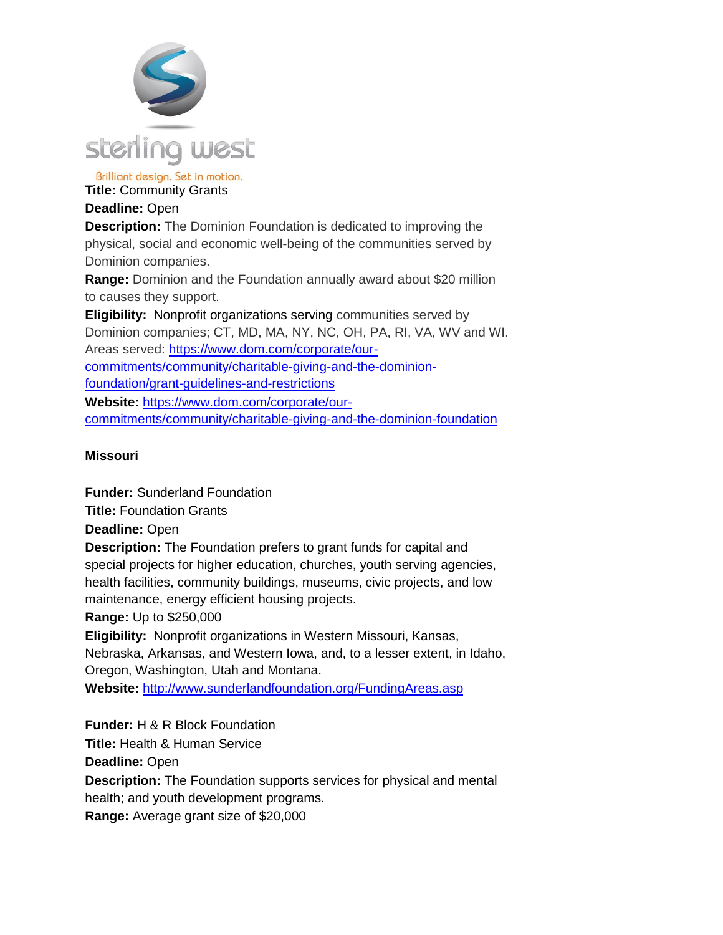

**Title:** Community Grants

# **Deadline:** Open

**Description:** The Dominion Foundation is dedicated to improving the physical, social and economic well-being of the communities served by Dominion companies.

**Range:** Dominion and the Foundation annually award about \$20 million to causes they support.

**Eligibility:** Nonprofit organizations serving communities served by Dominion companies; CT, MD, MA, NY, NC, OH, PA, RI, VA, WV and WI. Areas served: [https://www.dom.com/corporate/our](https://www.dom.com/corporate/our-commitments/community/charitable-giving-and-the-dominion-foundation/grant-guidelines-and-restrictions)[commitments/community/charitable-giving-and-the-dominion](https://www.dom.com/corporate/our-commitments/community/charitable-giving-and-the-dominion-foundation/grant-guidelines-and-restrictions)[foundation/grant-guidelines-and-restrictions](https://www.dom.com/corporate/our-commitments/community/charitable-giving-and-the-dominion-foundation/grant-guidelines-and-restrictions) **Website:** [https://www.dom.com/corporate/our](https://www.dom.com/corporate/our-commitments/community/charitable-giving-and-the-dominion-foundation)[commitments/community/charitable-giving-and-the-dominion-foundation](https://www.dom.com/corporate/our-commitments/community/charitable-giving-and-the-dominion-foundation)

# **Missouri**

**Funder:** Sunderland Foundation **Title:** Foundation Grants **Deadline:** Open **Description:** The Foundation prefers to grant funds for capital and special projects for higher education, churches, youth serving agencies, health facilities, community buildings, museums, civic projects, and low maintenance, energy efficient housing projects. **Range:** Up to \$250,000 **Eligibility:** Nonprofit organizations in Western Missouri, Kansas,

Nebraska, Arkansas, and Western Iowa, and, to a lesser extent, in Idaho, Oregon, Washington, Utah and Montana.

**Website:** <http://www.sunderlandfoundation.org/FundingAreas.asp>

**Funder:** H & R Block Foundation **Title:** Health & Human Service **Deadline:** Open **Description:** The Foundation supports services for physical and mental health; and youth development programs. **Range:** Average grant size of \$20,000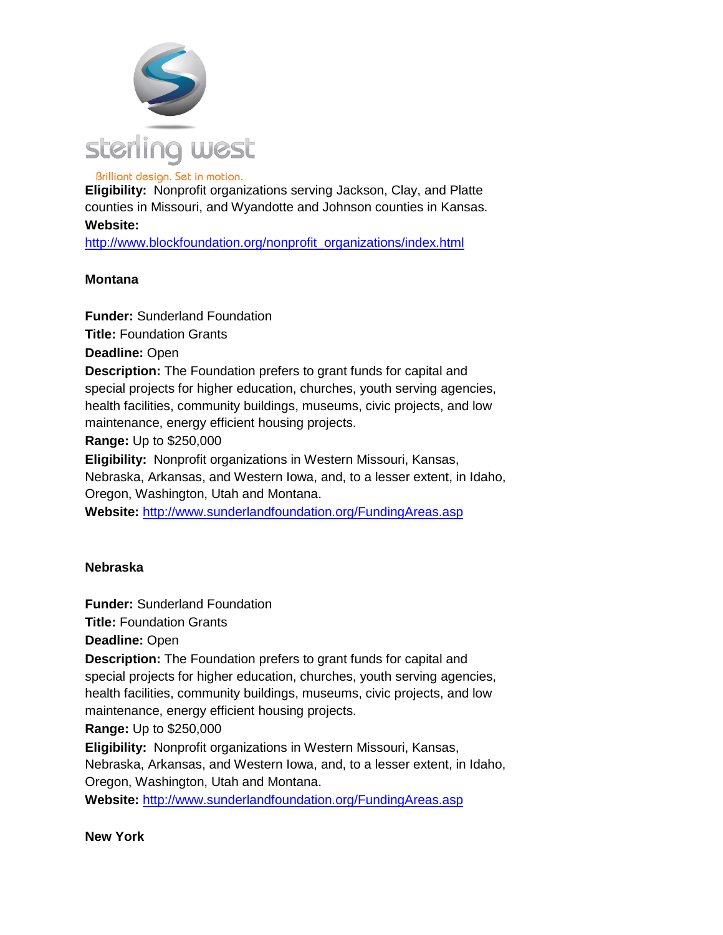

**Eligibility:** Nonprofit organizations serving Jackson, Clay, and Platte counties in Missouri, and Wyandotte and Johnson counties in Kansas.

#### **Website:**

[http://www.blockfoundation.org/nonprofit\\_organizations/index.html](http://www.blockfoundation.org/nonprofit_organizations/index.html)

### **Montana**

**Funder:** Sunderland Foundation **Title:** Foundation Grants **Deadline:** Open **Description:** The Foundation prefers to grant funds for capital and special projects for higher education, churches, youth serving agencies, health facilities, community buildings, museums, civic projects, and low maintenance, energy efficient housing projects. **Range:** Up to \$250,000 **Eligibility:** Nonprofit organizations in Western Missouri, Kansas, Nebraska, Arkansas, and Western Iowa, and, to a lesser extent, in Idaho, Oregon, Washington, Utah and Montana. **Website:** <http://www.sunderlandfoundation.org/FundingAreas.asp>

#### **Nebraska**

**Funder:** Sunderland Foundation **Title:** Foundation Grants **Deadline:** Open **Description:** The Foundation prefers to grant funds for capital and special projects for higher education, churches, youth serving agencies, health facilities, community buildings, museums, civic projects, and low maintenance, energy efficient housing projects. **Range:** Up to \$250,000 **Eligibility:** Nonprofit organizations in Western Missouri, Kansas, Nebraska, Arkansas, and Western Iowa, and, to a lesser extent, in Idaho, Oregon, Washington, Utah and Montana.

**Website:** <http://www.sunderlandfoundation.org/FundingAreas.asp>

#### **New York**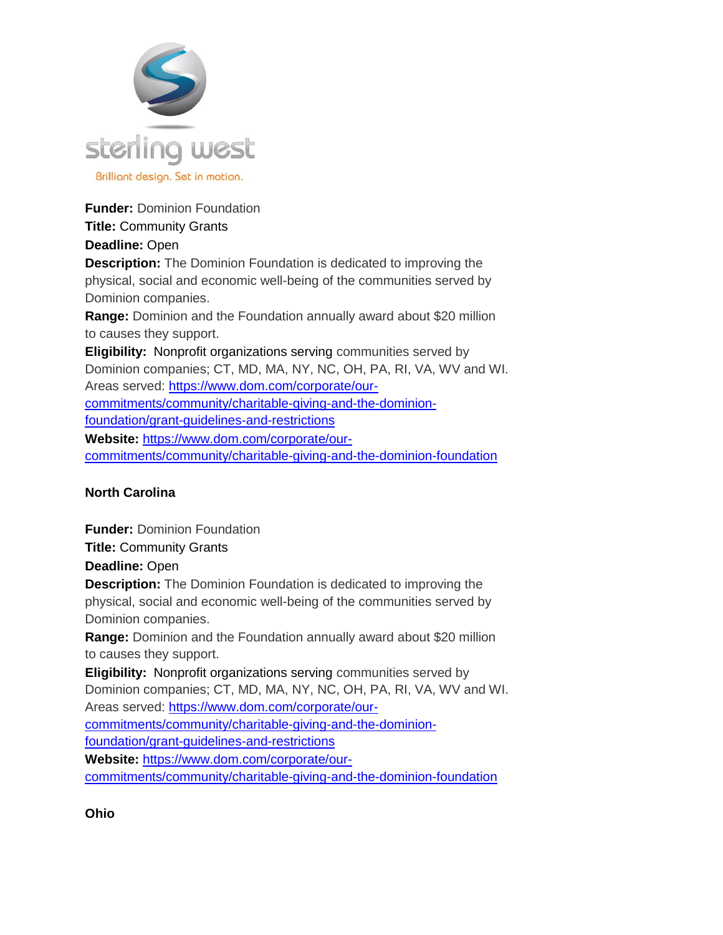

**Funder:** Dominion Foundation

# **Title:** Community Grants

# **Deadline:** Open

**Description:** The Dominion Foundation is dedicated to improving the physical, social and economic well-being of the communities served by Dominion companies.

**Range:** Dominion and the Foundation annually award about \$20 million to causes they support.

**Eligibility:** Nonprofit organizations serving communities served by Dominion companies; CT, MD, MA, NY, NC, OH, PA, RI, VA, WV and WI. Areas served: [https://www.dom.com/corporate/our](https://www.dom.com/corporate/our-commitments/community/charitable-giving-and-the-dominion-foundation/grant-guidelines-and-restrictions)[commitments/community/charitable-giving-and-the-dominion](https://www.dom.com/corporate/our-commitments/community/charitable-giving-and-the-dominion-foundation/grant-guidelines-and-restrictions)[foundation/grant-guidelines-and-restrictions](https://www.dom.com/corporate/our-commitments/community/charitable-giving-and-the-dominion-foundation/grant-guidelines-and-restrictions) **Website:** [https://www.dom.com/corporate/our-](https://www.dom.com/corporate/our-commitments/community/charitable-giving-and-the-dominion-foundation)

[commitments/community/charitable-giving-and-the-dominion-foundation](https://www.dom.com/corporate/our-commitments/community/charitable-giving-and-the-dominion-foundation)

# **North Carolina**

**Funder:** Dominion Foundation

**Title:** Community Grants

**Deadline:** Open

**Description:** The Dominion Foundation is dedicated to improving the physical, social and economic well-being of the communities served by Dominion companies.

**Range:** Dominion and the Foundation annually award about \$20 million to causes they support.

**Eligibility:** Nonprofit organizations serving communities served by Dominion companies; CT, MD, MA, NY, NC, OH, PA, RI, VA, WV and WI.

Areas served: [https://www.dom.com/corporate/our-](https://www.dom.com/corporate/our-commitments/community/charitable-giving-and-the-dominion-foundation/grant-guidelines-and-restrictions)

[commitments/community/charitable-giving-and-the-dominion-](https://www.dom.com/corporate/our-commitments/community/charitable-giving-and-the-dominion-foundation/grant-guidelines-and-restrictions)

[foundation/grant-guidelines-and-restrictions](https://www.dom.com/corporate/our-commitments/community/charitable-giving-and-the-dominion-foundation/grant-guidelines-and-restrictions)

**Website:** [https://www.dom.com/corporate/our](https://www.dom.com/corporate/our-commitments/community/charitable-giving-and-the-dominion-foundation)[commitments/community/charitable-giving-and-the-dominion-foundation](https://www.dom.com/corporate/our-commitments/community/charitable-giving-and-the-dominion-foundation)

**Ohio**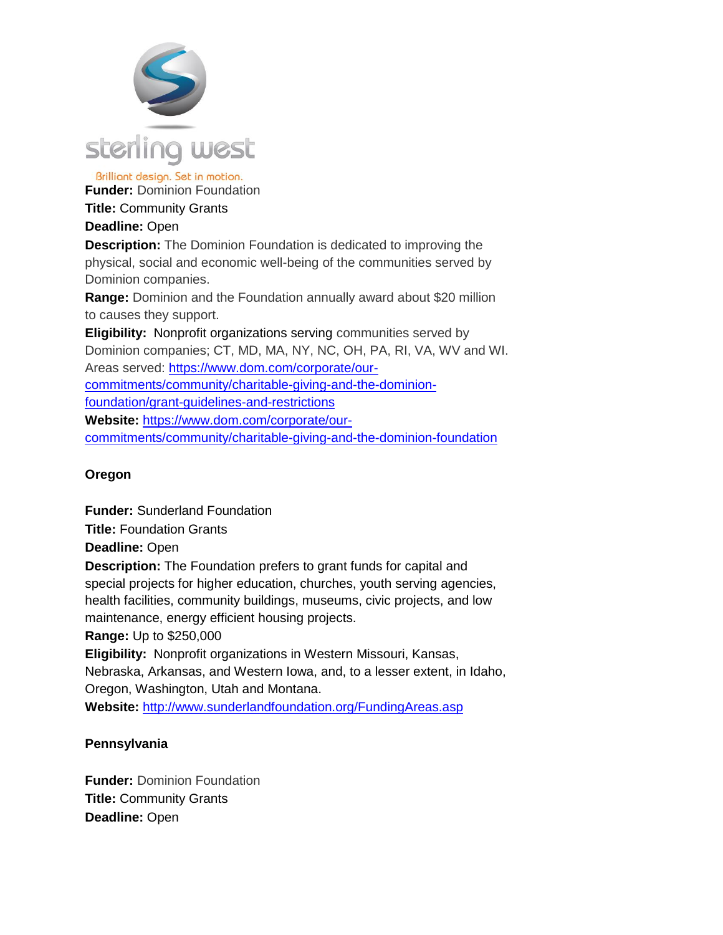

Brilliant design. Set in motion. **Funder:** Dominion Foundation

**Title:** Community Grants

# **Deadline:** Open

**Description:** The Dominion Foundation is dedicated to improving the physical, social and economic well-being of the communities served by Dominion companies.

**Range:** Dominion and the Foundation annually award about \$20 million to causes they support.

**Eligibility:** Nonprofit organizations serving communities served by Dominion companies; CT, MD, MA, NY, NC, OH, PA, RI, VA, WV and WI. Areas served: [https://www.dom.com/corporate/our](https://www.dom.com/corporate/our-commitments/community/charitable-giving-and-the-dominion-foundation/grant-guidelines-and-restrictions)[commitments/community/charitable-giving-and-the-dominion](https://www.dom.com/corporate/our-commitments/community/charitable-giving-and-the-dominion-foundation/grant-guidelines-and-restrictions)[foundation/grant-guidelines-and-restrictions](https://www.dom.com/corporate/our-commitments/community/charitable-giving-and-the-dominion-foundation/grant-guidelines-and-restrictions) **Website:** [https://www.dom.com/corporate/our](https://www.dom.com/corporate/our-commitments/community/charitable-giving-and-the-dominion-foundation)[commitments/community/charitable-giving-and-the-dominion-foundation](https://www.dom.com/corporate/our-commitments/community/charitable-giving-and-the-dominion-foundation)

# **Oregon**

**Funder:** Sunderland Foundation **Title:** Foundation Grants **Deadline:** Open **Description:** The Foundation prefers to grant funds for capital and special projects for higher education, churches, youth serving agencies, health facilities, community buildings, museums, civic projects, and low maintenance, energy efficient housing projects. **Range:** Up to \$250,000 **Eligibility:** Nonprofit organizations in Western Missouri, Kansas, Nebraska, Arkansas, and Western Iowa, and, to a lesser extent, in Idaho,

Oregon, Washington, Utah and Montana.

**Website:** <http://www.sunderlandfoundation.org/FundingAreas.asp>

# **Pennsylvania**

**Funder:** Dominion Foundation **Title:** Community Grants **Deadline:** Open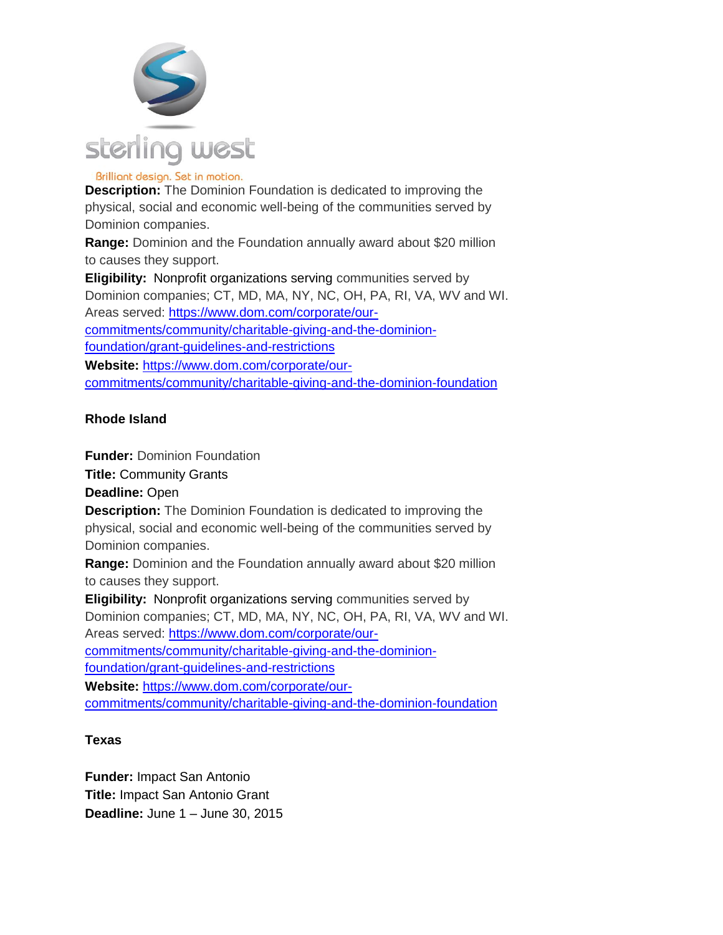

**Description:** The Dominion Foundation is dedicated to improving the physical, social and economic well-being of the communities served by Dominion companies.

**Range:** Dominion and the Foundation annually award about \$20 million to causes they support.

**Eligibility:** Nonprofit organizations serving communities served by Dominion companies; CT, MD, MA, NY, NC, OH, PA, RI, VA, WV and WI. Areas served: [https://www.dom.com/corporate/our](https://www.dom.com/corporate/our-commitments/community/charitable-giving-and-the-dominion-foundation/grant-guidelines-and-restrictions)[commitments/community/charitable-giving-and-the-dominion](https://www.dom.com/corporate/our-commitments/community/charitable-giving-and-the-dominion-foundation/grant-guidelines-and-restrictions)[foundation/grant-guidelines-and-restrictions](https://www.dom.com/corporate/our-commitments/community/charitable-giving-and-the-dominion-foundation/grant-guidelines-and-restrictions) **Website:** [https://www.dom.com/corporate/our-](https://www.dom.com/corporate/our-commitments/community/charitable-giving-and-the-dominion-foundation)

[commitments/community/charitable-giving-and-the-dominion-foundation](https://www.dom.com/corporate/our-commitments/community/charitable-giving-and-the-dominion-foundation)

# **Rhode Island**

**Funder:** Dominion Foundation **Title:** Community Grants **Deadline:** Open **Description:** The Dominion Foundation is dedicated to improving the physical, social and economic well-being of the communities served by Dominion companies. **Range:** Dominion and the Foundation annually award about \$20 million to causes they support. **Eligibility:** Nonprofit organizations serving communities served by Dominion companies; CT, MD, MA, NY, NC, OH, PA, RI, VA, WV and WI. Areas served: [https://www.dom.com/corporate/our](https://www.dom.com/corporate/our-commitments/community/charitable-giving-and-the-dominion-foundation/grant-guidelines-and-restrictions)[commitments/community/charitable-giving-and-the-dominion](https://www.dom.com/corporate/our-commitments/community/charitable-giving-and-the-dominion-foundation/grant-guidelines-and-restrictions)[foundation/grant-guidelines-and-restrictions](https://www.dom.com/corporate/our-commitments/community/charitable-giving-and-the-dominion-foundation/grant-guidelines-and-restrictions) **Website:** [https://www.dom.com/corporate/our-](https://www.dom.com/corporate/our-commitments/community/charitable-giving-and-the-dominion-foundation)

[commitments/community/charitable-giving-and-the-dominion-foundation](https://www.dom.com/corporate/our-commitments/community/charitable-giving-and-the-dominion-foundation)

# **Texas**

**Funder:** Impact San Antonio **Title:** Impact San Antonio Grant **Deadline:** June 1 – June 30, 2015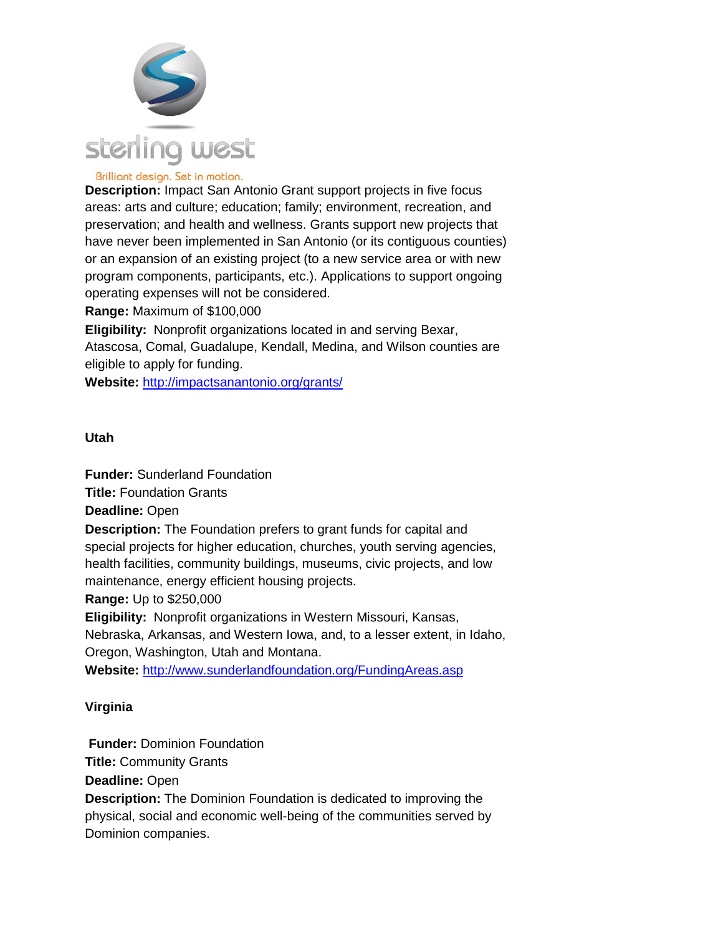

**Description:** Impact San Antonio Grant support projects in five focus areas: arts and culture; education; family; environment, recreation, and preservation; and health and wellness. Grants support new projects that have never been implemented in San Antonio (or its contiguous counties) or an expansion of an existing project (to a new service area or with new program components, participants, etc.). Applications to support ongoing operating expenses will not be considered.

**Range:** Maximum of \$100,000

**Eligibility:** Nonprofit organizations located in and serving Bexar, Atascosa, Comal, Guadalupe, Kendall, Medina, and Wilson counties are eligible to apply for funding.

**Website:** <http://impactsanantonio.org/grants/>

#### **Utah**

**Funder:** Sunderland Foundation **Title:** Foundation Grants **Deadline:** Open **Description:** The Foundation prefers to grant funds for capital and special projects for higher education, churches, youth serving agencies, health facilities, community buildings, museums, civic projects, and low maintenance, energy efficient housing projects. **Range:** Up to \$250,000 **Eligibility:** Nonprofit organizations in Western Missouri, Kansas,

Nebraska, Arkansas, and Western Iowa, and, to a lesser extent, in Idaho, Oregon, Washington, Utah and Montana.

**Website:** <http://www.sunderlandfoundation.org/FundingAreas.asp>

#### **Virginia**

**Funder:** Dominion Foundation **Title:** Community Grants **Deadline:** Open **Description:** The Dominion Foundation is dedicated to improving the physical, social and economic well-being of the communities served by Dominion companies.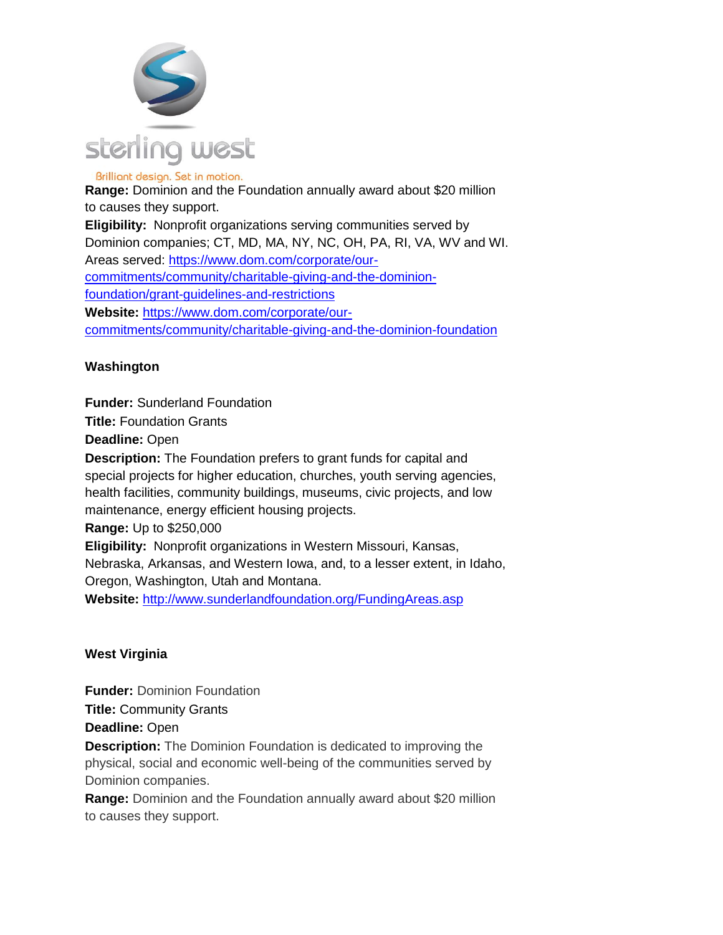

Brilliant design. Set in motion. **Range:** Dominion and the Foundation annually award about \$20 million to causes they support. **Eligibility:** Nonprofit organizations serving communities served by Dominion companies; CT, MD, MA, NY, NC, OH, PA, RI, VA, WV and WI. Areas served: [https://www.dom.com/corporate/our](https://www.dom.com/corporate/our-commitments/community/charitable-giving-and-the-dominion-foundation/grant-guidelines-and-restrictions)[commitments/community/charitable-giving-and-the-dominion](https://www.dom.com/corporate/our-commitments/community/charitable-giving-and-the-dominion-foundation/grant-guidelines-and-restrictions)[foundation/grant-guidelines-and-restrictions](https://www.dom.com/corporate/our-commitments/community/charitable-giving-and-the-dominion-foundation/grant-guidelines-and-restrictions) **Website:** [https://www.dom.com/corporate/our](https://www.dom.com/corporate/our-commitments/community/charitable-giving-and-the-dominion-foundation)[commitments/community/charitable-giving-and-the-dominion-foundation](https://www.dom.com/corporate/our-commitments/community/charitable-giving-and-the-dominion-foundation)

### **Washington**

**Funder:** Sunderland Foundation

**Title:** Foundation Grants

**Deadline:** Open

**Description:** The Foundation prefers to grant funds for capital and special projects for higher education, churches, youth serving agencies, health facilities, community buildings, museums, civic projects, and low maintenance, energy efficient housing projects.

**Range:** Up to \$250,000

**Eligibility:** Nonprofit organizations in Western Missouri, Kansas,

Nebraska, Arkansas, and Western Iowa, and, to a lesser extent, in Idaho, Oregon, Washington, Utah and Montana.

**Website:** <http://www.sunderlandfoundation.org/FundingAreas.asp>

#### **West Virginia**

**Funder:** Dominion Foundation **Title:** Community Grants

**Deadline:** Open

**Description:** The Dominion Foundation is dedicated to improving the physical, social and economic well-being of the communities served by Dominion companies.

**Range:** Dominion and the Foundation annually award about \$20 million to causes they support.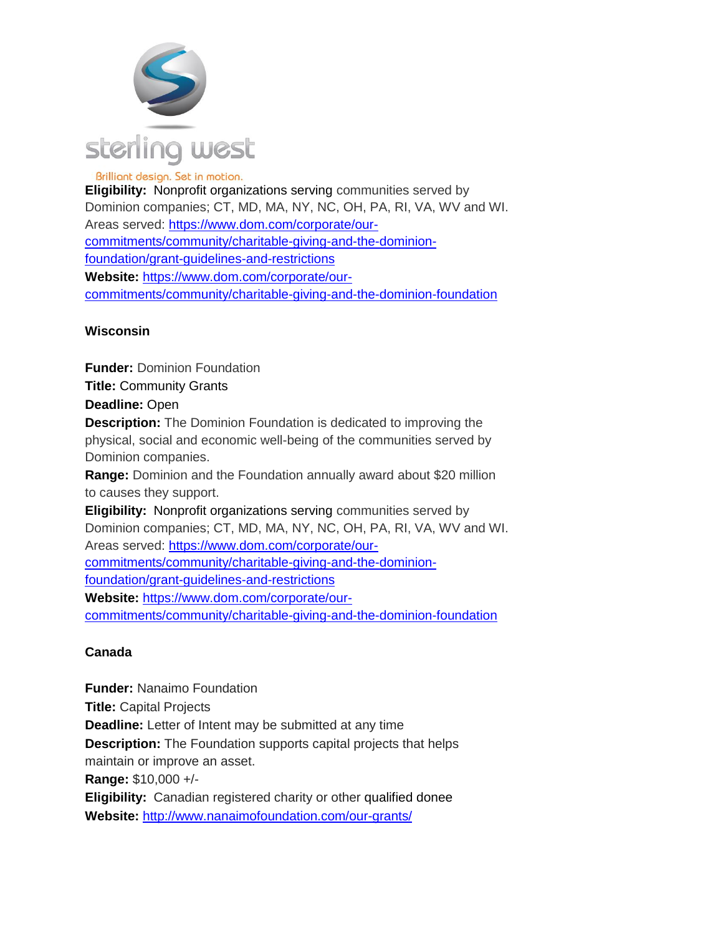

**Eligibility:** Nonprofit organizations serving communities served by Dominion companies; CT, MD, MA, NY, NC, OH, PA, RI, VA, WV and WI. Areas served: [https://www.dom.com/corporate/our](https://www.dom.com/corporate/our-commitments/community/charitable-giving-and-the-dominion-foundation/grant-guidelines-and-restrictions)[commitments/community/charitable-giving-and-the-dominion](https://www.dom.com/corporate/our-commitments/community/charitable-giving-and-the-dominion-foundation/grant-guidelines-and-restrictions)[foundation/grant-guidelines-and-restrictions](https://www.dom.com/corporate/our-commitments/community/charitable-giving-and-the-dominion-foundation/grant-guidelines-and-restrictions) **Website:** [https://www.dom.com/corporate/our](https://www.dom.com/corporate/our-commitments/community/charitable-giving-and-the-dominion-foundation)[commitments/community/charitable-giving-and-the-dominion-foundation](https://www.dom.com/corporate/our-commitments/community/charitable-giving-and-the-dominion-foundation)

# **Wisconsin**

**Funder:** Dominion Foundation **Title:** Community Grants **Deadline:** Open **Description:** The Dominion Foundation is dedicated to improving the physical, social and economic well-being of the communities served by Dominion companies. **Range:** Dominion and the Foundation annually award about \$20 million to causes they support. **Eligibility:** Nonprofit organizations serving communities served by Dominion companies; CT, MD, MA, NY, NC, OH, PA, RI, VA, WV and WI. Areas served: [https://www.dom.com/corporate/our](https://www.dom.com/corporate/our-commitments/community/charitable-giving-and-the-dominion-foundation/grant-guidelines-and-restrictions)[commitments/community/charitable-giving-and-the-dominion](https://www.dom.com/corporate/our-commitments/community/charitable-giving-and-the-dominion-foundation/grant-guidelines-and-restrictions)[foundation/grant-guidelines-and-restrictions](https://www.dom.com/corporate/our-commitments/community/charitable-giving-and-the-dominion-foundation/grant-guidelines-and-restrictions) **Website:** [https://www.dom.com/corporate/our-](https://www.dom.com/corporate/our-commitments/community/charitable-giving-and-the-dominion-foundation)

[commitments/community/charitable-giving-and-the-dominion-foundation](https://www.dom.com/corporate/our-commitments/community/charitable-giving-and-the-dominion-foundation)

# **Canada**

**Funder:** Nanaimo Foundation **Title:** Capital Projects **Deadline:** Letter of Intent may be submitted at any time **Description:** The Foundation supports capital projects that helps maintain or improve an asset. **Range:** \$10,000 +/- **Eligibility:** Canadian registered charity or other qualified donee **Website:** <http://www.nanaimofoundation.com/our-grants/>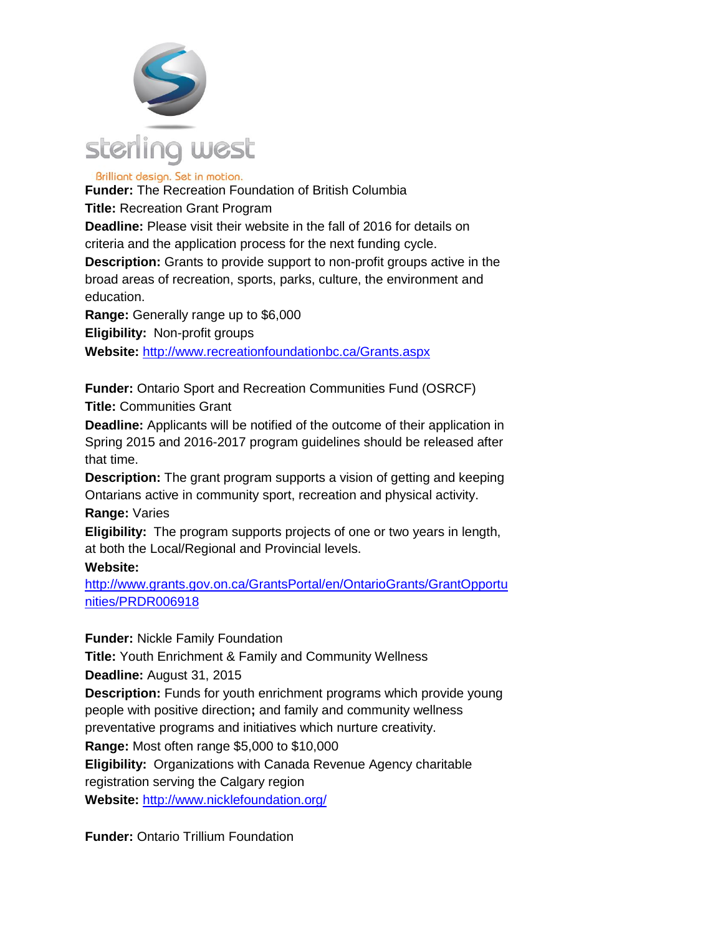

**Funder:** The Recreation Foundation of British Columbia

**Title:** Recreation Grant Program

**Deadline:** Please visit their website in the fall of 2016 for details on criteria and the application process for the next funding cycle.

**Description:** Grants to provide support to non-profit groups active in the broad areas of recreation, sports, parks, culture, the environment and education.

**Range:** Generally range up to \$6,000

**Eligibility:** Non-profit groups

**Website:** <http://www.recreationfoundationbc.ca/Grants.aspx>

**Funder:** Ontario Sport and Recreation Communities Fund (OSRCF) **Title:** Communities Grant

**Deadline:** Applicants will be notified of the outcome of their application in Spring 2015 and 2016-2017 program guidelines should be released after that time.

**Description:** The grant program supports a vision of getting and keeping Ontarians active in community sport, recreation and physical activity.

**Range:** Varies

**Eligibility:** The program supports projects of one or two years in length, at both the Local/Regional and Provincial levels.

#### **Website:**

[http://www.grants.gov.on.ca/GrantsPortal/en/OntarioGrants/GrantOpportu](http://www.grants.gov.on.ca/GrantsPortal/en/OntarioGrants/GrantOpportunities/PRDR006918) [nities/PRDR006918](http://www.grants.gov.on.ca/GrantsPortal/en/OntarioGrants/GrantOpportunities/PRDR006918)

**Funder:** Nickle Family Foundation

**Title:** Youth Enrichment & Family and Community Wellness

**Deadline:** August 31, 2015

**Description:** Funds for youth enrichment programs which provide young people with positive direction**;** and family and community wellness

preventative programs and initiatives which nurture creativity.

**Range:** Most often range \$5,000 to \$10,000

**Eligibility:** Organizations with Canada Revenue Agency charitable

registration serving the Calgary region

**Website:** <http://www.nicklefoundation.org/>

**Funder:** Ontario Trillium Foundation